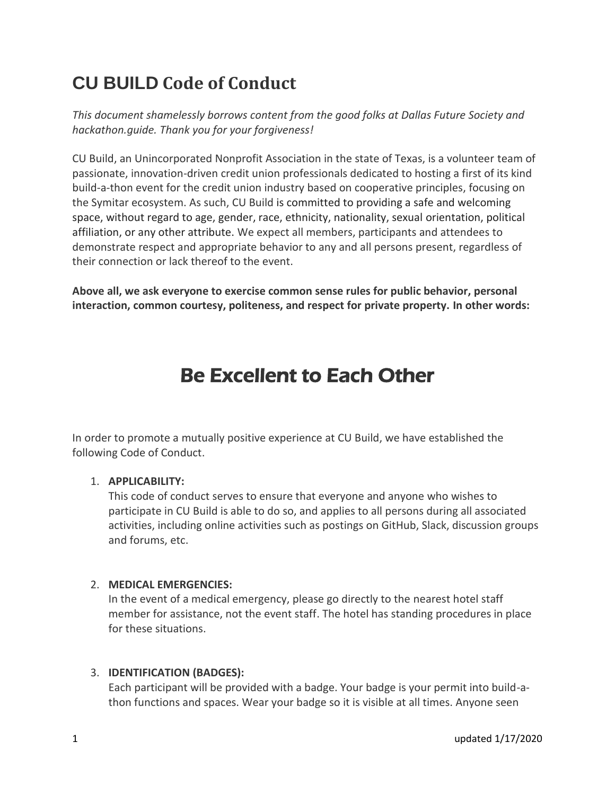# **CU BUILD Code of Conduct**

*This document shamelessly borrows content from the good folks at Dallas Future Society and hackathon.guide. Thank you for your forgiveness!*

CU Build, an Unincorporated Nonprofit Association in the state of Texas, is a volunteer team of passionate, innovation-driven credit union professionals dedicated to hosting a first of its kind build-a-thon event for the credit union industry based on cooperative principles, focusing on the Symitar ecosystem. As such, CU Build is committed to providing a safe and welcoming space, without regard to age, gender, race, ethnicity, nationality, sexual orientation, political affiliation, or any other attribute. We expect all members, participants and attendees to demonstrate respect and appropriate behavior to any and all persons present, regardless of their connection or lack thereof to the event.

**Above all, we ask everyone to exercise common sense rules for public behavior, personal interaction, common courtesy, politeness, and respect for private property. In other words:**

# Be Excellent to Each Other

In order to promote a mutually positive experience at CU Build, we have established the following Code of Conduct.

## 1. **APPLICABILITY:**

This code of conduct serves to ensure that everyone and anyone who wishes to participate in CU Build is able to do so, and applies to all persons during all associated activities, including online activities such as postings on GitHub, Slack, discussion groups and forums, etc.

# 2. **MEDICAL EMERGENCIES:**

In the event of a medical emergency, please go directly to the nearest hotel staff member for assistance, not the event staff. The hotel has standing procedures in place for these situations.

## 3. **IDENTIFICATION (BADGES):**

Each participant will be provided with a badge. Your badge is your permit into build-athon functions and spaces. Wear your badge so it is visible at all times. Anyone seen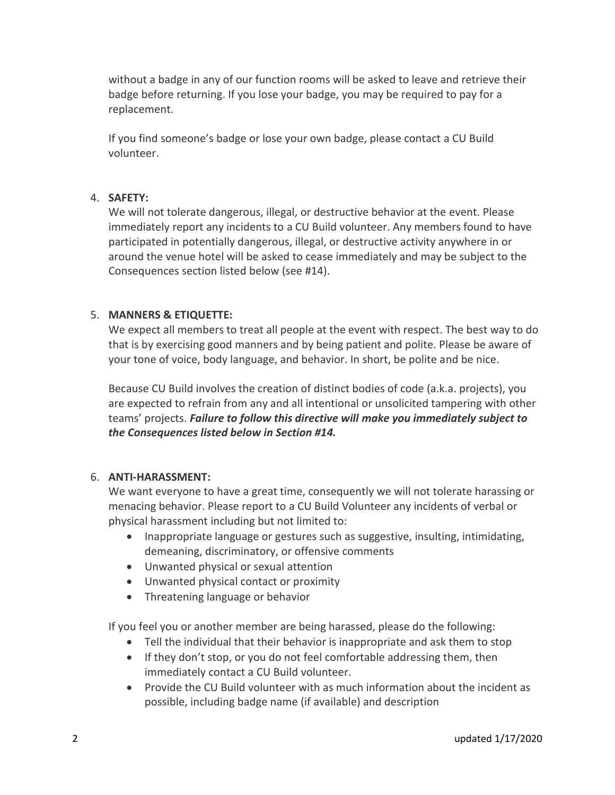without a badge in any of our function rooms will be asked to leave and retrieve their badge before returning. If you lose your badge, you may be required to pay for a replacement.

If you find someone's badge or lose your own badge, please contact a CU Build volunteer.

### 4. **SAFETY:**

We will not tolerate dangerous, illegal, or destructive behavior at the event. Please immediately report any incidents to a CU Build volunteer. Any members found to have participated in potentially dangerous, illegal, or destructive activity anywhere in or around the venue hotel will be asked to cease immediately and may be subject to the Consequences section listed below (see #14).

### 5. **MANNERS & ETIQUETTE:**

We expect all members to treat all people at the event with respect. The best way to do that is by exercising good manners and by being patient and polite. Please be aware of your tone of voice, body language, and behavior. In short, be polite and be nice.

Because CU Build involves the creation of distinct bodies of code (a.k.a. projects), you are expected to refrain from any and all intentional or unsolicited tampering with other teams' projects. *Failure to follow this directive will make you immediately subject to the Consequences listed below in Section #14.*

#### 6. **ANTI-HARASSMENT:**

We want everyone to have a great time, consequently we will not tolerate harassing or menacing behavior. Please report to a CU Build Volunteer any incidents of verbal or physical harassment including but not limited to:

- Inappropriate language or gestures such as suggestive, insulting, intimidating, demeaning, discriminatory, or offensive comments
- Unwanted physical or sexual attention
- Unwanted physical contact or proximity
- Threatening language or behavior

If you feel you or another member are being harassed, please do the following:

- Tell the individual that their behavior is inappropriate and ask them to stop
- If they don't stop, or you do not feel comfortable addressing them, then immediately contact a CU Build volunteer.
- Provide the CU Build volunteer with as much information about the incident as possible, including badge name (if available) and description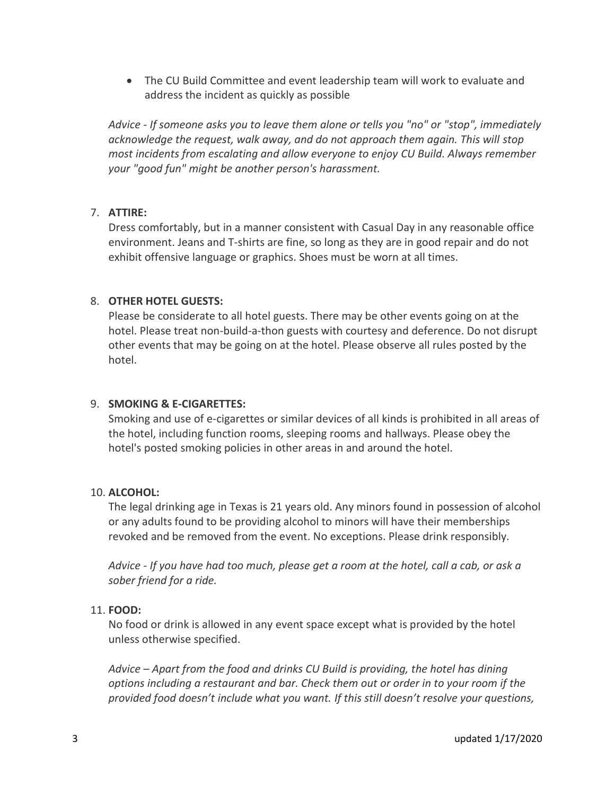The CU Build Committee and event leadership team will work to evaluate and address the incident as quickly as possible

*Advice - If someone asks you to leave them alone or tells you "no" or "stop", immediately acknowledge the request, walk away, and do not approach them again. This will stop most incidents from escalating and allow everyone to enjoy CU Build. Always remember your "good fun" might be another person's harassment.*

### 7. **ATTIRE:**

Dress comfortably, but in a manner consistent with Casual Day in any reasonable office environment. Jeans and T-shirts are fine, so long as they are in good repair and do not exhibit offensive language or graphics. Shoes must be worn at all times.

### 8. **OTHER HOTEL GUESTS:**

Please be considerate to all hotel guests. There may be other events going on at the hotel. Please treat non-build-a-thon guests with courtesy and deference. Do not disrupt other events that may be going on at the hotel. Please observe all rules posted by the hotel.

#### 9. **SMOKING & E-CIGARETTES:**

Smoking and use of e-cigarettes or similar devices of all kinds is prohibited in all areas of the hotel, including function rooms, sleeping rooms and hallways. Please obey the hotel's posted smoking policies in other areas in and around the hotel.

#### 10. **ALCOHOL:**

The legal drinking age in Texas is 21 years old. Any minors found in possession of alcohol or any adults found to be providing alcohol to minors will have their memberships revoked and be removed from the event. No exceptions. Please drink responsibly.

*Advice - If you have had too much, please get a room at the hotel, call a cab, or ask a sober friend for a ride.*

#### 11. **FOOD:**

No food or drink is allowed in any event space except what is provided by the hotel unless otherwise specified.

*Advice – Apart from the food and drinks CU Build is providing, the hotel has dining options including a restaurant and bar. Check them out or order in to your room if the provided food doesn't include what you want. If this still doesn't resolve your questions,*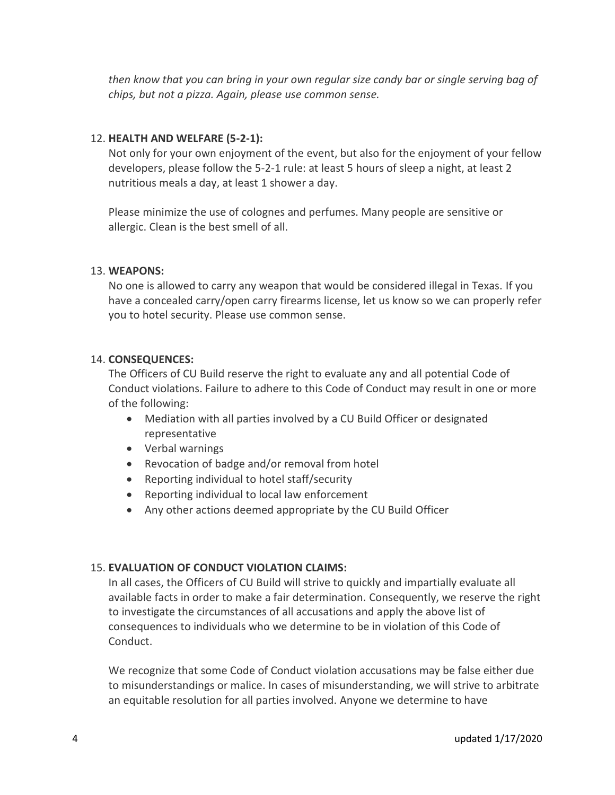*then know that you can bring in your own regular size candy bar or single serving bag of chips, but not a pizza. Again, please use common sense.*

#### 12. **HEALTH AND WELFARE (5-2-1):**

Not only for your own enjoyment of the event, but also for the enjoyment of your fellow developers, please follow the 5-2-1 rule: at least 5 hours of sleep a night, at least 2 nutritious meals a day, at least 1 shower a day.

Please minimize the use of colognes and perfumes. Many people are sensitive or allergic. Clean is the best smell of all.

#### 13. **WEAPONS:**

No one is allowed to carry any weapon that would be considered illegal in Texas. If you have a concealed carry/open carry firearms license, let us know so we can properly refer you to hotel security. Please use common sense.

#### 14. **CONSEQUENCES:**

The Officers of CU Build reserve the right to evaluate any and all potential Code of Conduct violations. Failure to adhere to this Code of Conduct may result in one or more of the following:

- Mediation with all parties involved by a CU Build Officer or designated representative
- Verbal warnings
- Revocation of badge and/or removal from hotel
- Reporting individual to hotel staff/security
- Reporting individual to local law enforcement
- Any other actions deemed appropriate by the CU Build Officer

#### 15. **EVALUATION OF CONDUCT VIOLATION CLAIMS:**

In all cases, the Officers of CU Build will strive to quickly and impartially evaluate all available facts in order to make a fair determination. Consequently, we reserve the right to investigate the circumstances of all accusations and apply the above list of consequences to individuals who we determine to be in violation of this Code of Conduct.

We recognize that some Code of Conduct violation accusations may be false either due to misunderstandings or malice. In cases of misunderstanding, we will strive to arbitrate an equitable resolution for all parties involved. Anyone we determine to have